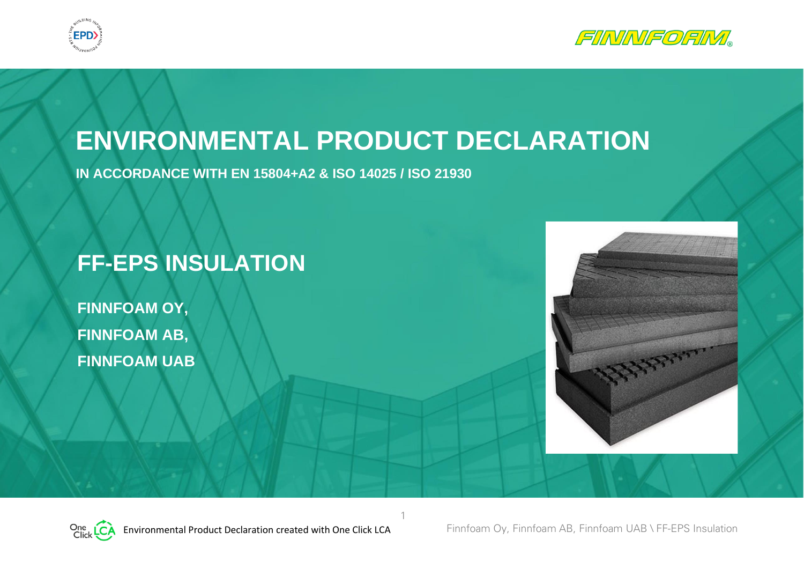



# **ENVIRONMENTAL PRODUCT DECLARATION**

1

**IN ACCORDANCE WITH EN 15804+A2 & ISO 14025 / ISO 21930**

## **FF-EPS INSULATION**

**FINNFOAM OY, FINNFOAM AB, FINNFOAM UAB**



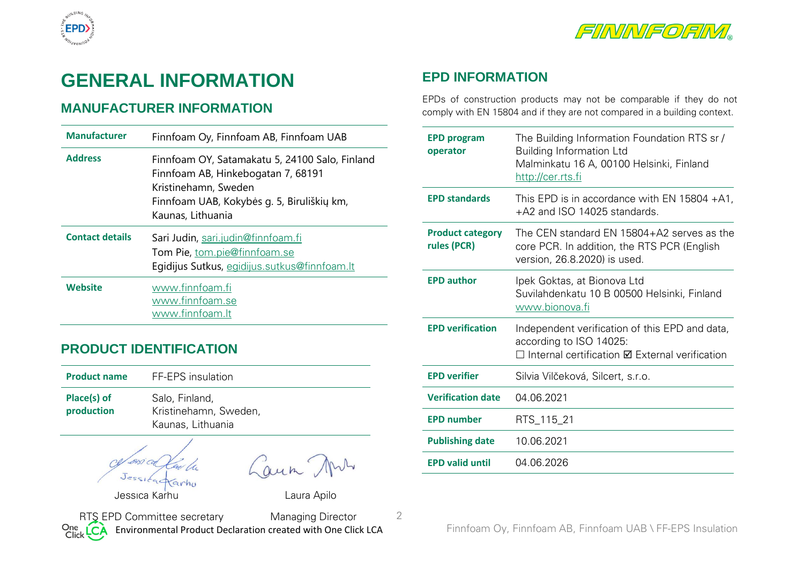

## **GENERAL INFORMATION**

## **MANUFACTURER INFORMATION**

**EPD** 

| <b>Manufacturer</b>    | Finnfoam Oy, Finnfoam AB, Finnfoam UAB                                                                                                                                          |
|------------------------|---------------------------------------------------------------------------------------------------------------------------------------------------------------------------------|
| <b>Address</b>         | Finnfoam OY, Satamakatu 5, 24100 Salo, Finland<br>Finnfoam AB, Hinkebogatan 7, 68191<br>Kristinehamn, Sweden<br>Finnfoam UAB, Kokybės g. 5, Biruliškių km,<br>Kaunas, Lithuania |
| <b>Contact details</b> |                                                                                                                                                                                 |
|                        | Sari Judin, sari.judin@finnfoam.fi<br>Tom Pie, tom.pie@finnfoam.se<br>Egidijus Sutkus, egidijus.sutkus@finnfoam.lt                                                              |

### **PRODUCT IDENTIFICATION**

| <b>Product name</b>       | FF-EPS insulation                                            |
|---------------------------|--------------------------------------------------------------|
| Place(s) of<br>production | Salo, Finland,<br>Kristinehamn, Sweden,<br>Kaunas, Lithuania |

Jessica Karhu Laura Apilo

Caun Ans

2

Environmental Product Declaration created with One Click LCA Finnfoam Oy, Finnfoam AB, Finnfoam UAB \ FF-EPS Insulation RTS EPD Committee secretary Managing Director<br>Click CA Environmental Product Declaration created with One Clic

## **EPD INFORMATION**

EPDs of construction products may not be comparable if they do not comply with EN 15804 and if they are not compared in a building context.

| <b>EPD program</b><br>operator         | The Building Information Foundation RTS sr /<br><b>Building Information Ltd</b><br>Malminkatu 16 A, 00100 Helsinki, Finland<br><u>http://cer.rts.fi</u> |
|----------------------------------------|---------------------------------------------------------------------------------------------------------------------------------------------------------|
| <b>EPD standards</b>                   | This EPD is in accordance with EN 15804 $+A1$ ,<br>+A2 and ISO 14025 standards.                                                                         |
| <b>Product category</b><br>rules (PCR) | The CEN standard EN 15804+A2 serves as the<br>core PCR. In addition, the RTS PCR (English<br>version, 26.8.2020) is used.                               |
| <b>EPD author</b>                      | Ipek Goktas, at Bionova Ltd<br>Suvilahdenkatu 10 B 00500 Helsinki, Finland<br><u>www.bionova.fi</u>                                                     |
| <b>EPD verification</b>                | Independent verification of this EPD and data,<br>according to ISO 14025:<br>$\Box$ Internal certification $\boxtimes$ External verification            |
| <b>EPD verifier</b>                    | Silvia Vilčeková, Silcert, s.r.o.                                                                                                                       |
| <b>Verification date</b>               | 04.06.2021                                                                                                                                              |
| <b>EPD number</b>                      | RTS_115_21                                                                                                                                              |
| <b>Publishing date</b>                 | 10.06.2021                                                                                                                                              |
| <b>EPD valid until</b>                 | 04.06.2026                                                                                                                                              |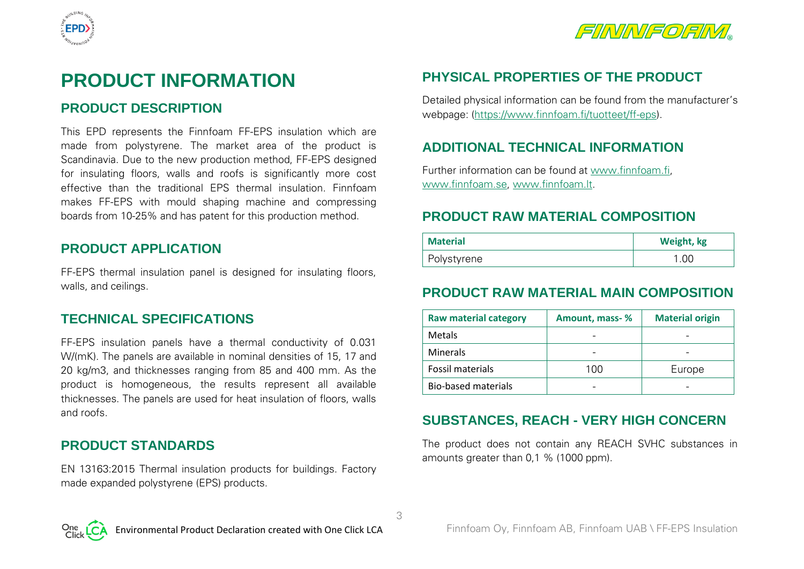



## **PRODUCT INFORMATION**

## **PRODUCT DESCRIPTION**

This EPD represents the Finnfoam FF-EPS insulation which are made from polystyrene. The market area of the product is Scandinavia. Due to the new production method, FF-EPS designed for insulating floors, walls and roofs is significantly more cost effective than the traditional EPS thermal insulation. Finnfoam makes FF-EPS with mould shaping machine and compressing boards from 10-25% and has patent for this production method.

## **PRODUCT APPLICATION**

FF-EPS thermal insulation panel is designed for insulating floors, walls, and ceilings.

### **TECHNICAL SPECIFICATIONS**

FF-EPS insulation panels have a thermal conductivity of 0.031 W/(mK). The panels are available in nominal densities of 15, 17 and 20 kg/m3, and thicknesses ranging from 85 and 400 mm. As the product is homogeneous, the results represent all available thicknesses. The panels are used for heat insulation of floors, walls and roofs.

### **PRODUCT STANDARDS**

EN 13163:2015 Thermal insulation products for buildings. Factory made expanded polystyrene (EPS) products.

## **PHYSICAL PROPERTIES OF THE PRODUCT**

Detailed physical information can be found from the manufacturer's webpage: [\(https://www.finnfoam.fi/tuotteet/ff-eps\)](https://www.finnfoam.fi/tuotteet/ff-eps).

## **ADDITIONAL TECHNICAL INFORMATION**

Further information can be found at www.finnfoam.fi, www.finnfoam.se, www.finnfoam.lt.

## **PRODUCT RAW MATERIAL COMPOSITION**

| <b>Material</b> | Weight, kg |
|-----------------|------------|
| Polystyrene     | l .OC      |

## **PRODUCT RAW MATERIAL MAIN COMPOSITION**

| <b>Raw material category</b> | Amount, mass-% | <b>Material origin</b> |
|------------------------------|----------------|------------------------|
| <b>Metals</b>                |                |                        |
| <b>Minerals</b>              |                |                        |
| Fossil materials             | 100            | Europe                 |
| Bio-based materials          |                |                        |

## **SUBSTANCES, REACH - VERY HIGH CONCERN**

The product does not contain any REACH SVHC substances in amounts greater than 0,1 % (1000 ppm).

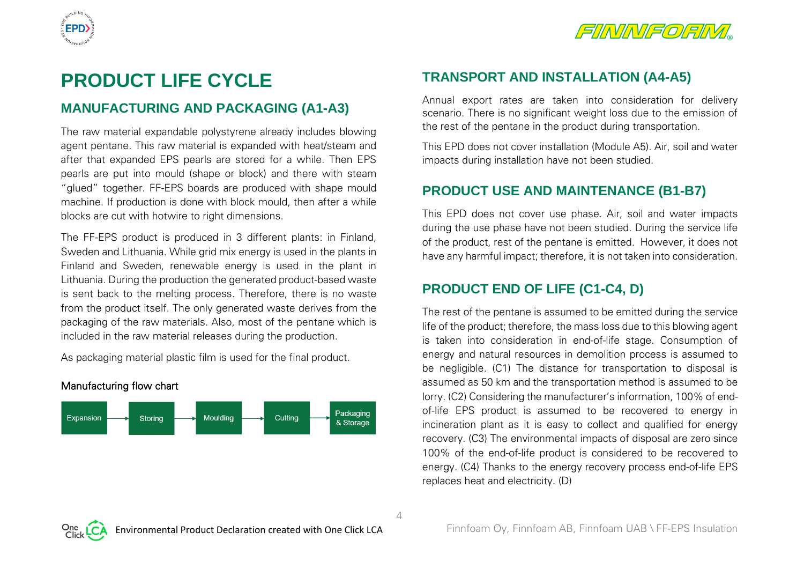



## **PRODUCT LIFE CYCLE**

### **MANUFACTURING AND PACKAGING (A1-A3)**

The raw material expandable polystyrene already includes blowing agent pentane. This raw material is expanded with heat/steam and after that expanded EPS pearls are stored for a while. Then EPS pearls are put into mould (shape or block) and there with steam "glued" together. FF-EPS boards are produced with shape mould machine. If production is done with block mould, then after a while blocks are cut with hotwire to right dimensions.

The FF-EPS product is produced in 3 different plants: in Finland, Sweden and Lithuania. While grid mix energy is used in the plants in Finland and Sweden, renewable energy is used in the plant in Lithuania. During the production the generated product-based waste is sent back to the melting process. Therefore, there is no waste from the product itself. The only generated waste derives from the packaging of the raw materials. Also, most of the pentane which is included in the raw material releases during the production.

As packaging material plastic film is used for the final product.



## **TRANSPORT AND INSTALLATION (A4-A5)**

Annual export rates are taken into consideration for delivery scenario. There is no significant weight loss due to the emission of the rest of the pentane in the product during transportation.

This EPD does not cover installation (Module A5). Air, soil and water impacts during installation have not been studied.

## **PRODUCT USE AND MAINTENANCE (B1-B7)**

This EPD does not cover use phase. Air, soil and water impacts during the use phase have not been studied. During the service life of the product, rest of the pentane is emitted. However, it does not have any harmful impact; therefore, it is not taken into consideration.

## **PRODUCT END OF LIFE (C1-C4, D)**

The rest of the pentane is assumed to be emitted during the service life of the product; therefore, the mass loss due to this blowing agent is taken into consideration in end-of-life stage. Consumption of energy and natural resources in demolition process is assumed to be negligible. (C1) The distance for transportation to disposal is assumed as 50 km and the transportation method is assumed to be lorry. (C2) Considering the manufacturer's information, 100% of endof-life EPS product is assumed to be recovered to energy in incineration plant as it is easy to collect and qualified for energy recovery. (C3) The environmental impacts of disposal are zero since 100% of the end-of-life product is considered to be recovered to energy. (C4) Thanks to the energy recovery process end-of-life EPS replaces heat and electricity. (D)

 $\Delta$ 

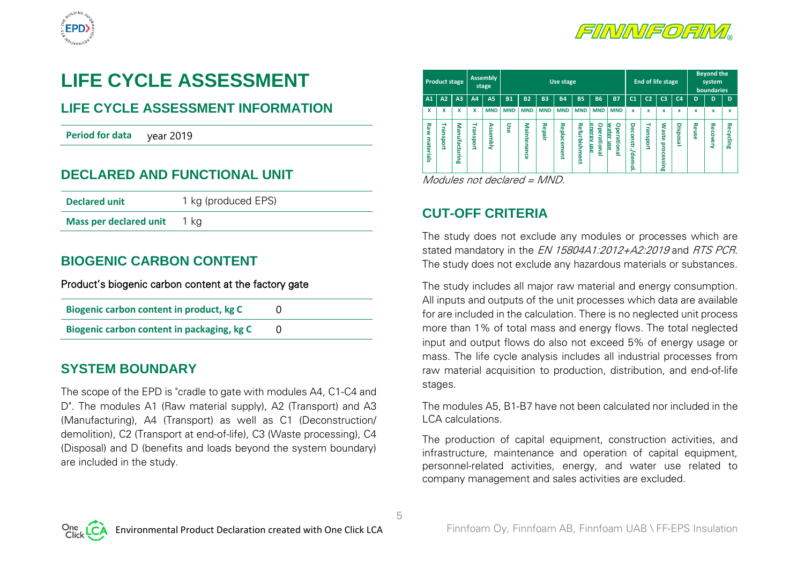



## **LIFE CYCLE ASSESSMENT**

## **LIFE CYCLE ASSESSMENT INFORMATION**

**Period for data** year 2019

## **DECLARED AND FUNCTIONAL UNIT**

| <b>Declared unit</b>          | 1 kg (produced EPS) |
|-------------------------------|---------------------|
| <b>Mass per declared unit</b> | 1 ka                |

## **BIOGENIC CARBON CONTENT**

#### Product's biogenic carbon content at the factory gate

| Biogenic carbon content in product, kg C   |  |
|--------------------------------------------|--|
| Biogenic carbon content in packaging, kg C |  |

### **SYSTEM BOUNDARY**

The scope of the EPD is "cradle to gate with modules A4, C1-C4 and D". The modules A1 (Raw material supply), A2 (Transport) and A3 (Manufacturing), A4 (Transport) as well as C1 (Deconstruction/ demolition), C2 (Transport at end-of-life), C3 (Waste processing), C4 (Disposal) and D (benefits and loads beyond the system boundary) are included in the study.

| <b>Product stage</b>                                       |                |           | <b>Assembly</b><br>stage | <b>End of life stage</b><br>Use stage |             |            |                         |                              |                                                             |                                                    |                          | <b>Beyond the</b><br>system<br>boundaries |                                         |                |       |                 |              |
|------------------------------------------------------------|----------------|-----------|--------------------------|---------------------------------------|-------------|------------|-------------------------|------------------------------|-------------------------------------------------------------|----------------------------------------------------|--------------------------|-------------------------------------------|-----------------------------------------|----------------|-------|-----------------|--------------|
| A2<br>A1                                                   | A <sub>3</sub> | A4        | <b>A5</b>                | <b>B1</b>                             | <b>B2</b>   | <b>B3</b>  | <b>B4</b>               | <b>B5</b>                    | <b>B6</b>                                                   | <b>B7</b>                                          | C <sub>1</sub>           | C <sub>2</sub>                            | C <sub>3</sub>                          | C <sub>4</sub> | D     | D               | $\mathbf{D}$ |
| X<br>x                                                     | x              | x         | <b>MND</b>               | <b>MND</b>                            | <b>MND</b>  | <b>MND</b> | <b>MND</b>              | <b>MND</b>                   | <b>MND</b>                                                  | <b>MND</b>                                         | x                        | $\mathbf x$                               | x                                       | X              | x     | x               | x            |
| Raw<br>₹<br>نە<br>5<br>$\mathbf{u}$<br>materials<br>ह<br>ã | Manufacturing  | Transport | <b>Assembly</b>          | Use                                   | Maintenance | Repair     | 중<br>ъ<br>ត<br>႙<br>ēnt | <b>Refurbish</b><br>⋾<br>ent | $\circ$<br>ene<br>್ಥಾ<br>뤊<br>유<br><b>B</b><br>딣<br>Im<br>= | ۰<br><b>Mater</b><br>٦ē<br>읝<br><u>mse</u><br>iona | σ<br>econstr<br>ż<br>emo | ₹<br>읔<br><b>G</b><br>ä                   | ٤<br>laste<br>proc<br>ĝ<br>≌.<br>5<br>œ | Disposal       | Reuse | <b>Recovery</b> | Recycling    |

Modules not declared = MND.

## **CUT-OFF CRITERIA**

5

The study does not exclude any modules or processes which are stated mandatory in the *EN 15804A1:2012+A2:2019* and *RTS PCR*. The study does not exclude any hazardous materials or substances.

The study includes all major raw material and energy consumption. All inputs and outputs of the unit processes which data are available for are included in the calculation. There is no neglected unit process more than 1% of total mass and energy flows. The total neglected input and output flows do also not exceed 5% of energy usage or mass. The life cycle analysis includes all industrial processes from raw material acquisition to production, distribution, and end-of-life stages.

The modules A5, B1-B7 have not been calculated nor included in the LCA calculations.

The production of capital equipment, construction activities, and infrastructure, maintenance and operation of capital equipment, personnel-related activities, energy, and water use related to company management and sales activities are excluded.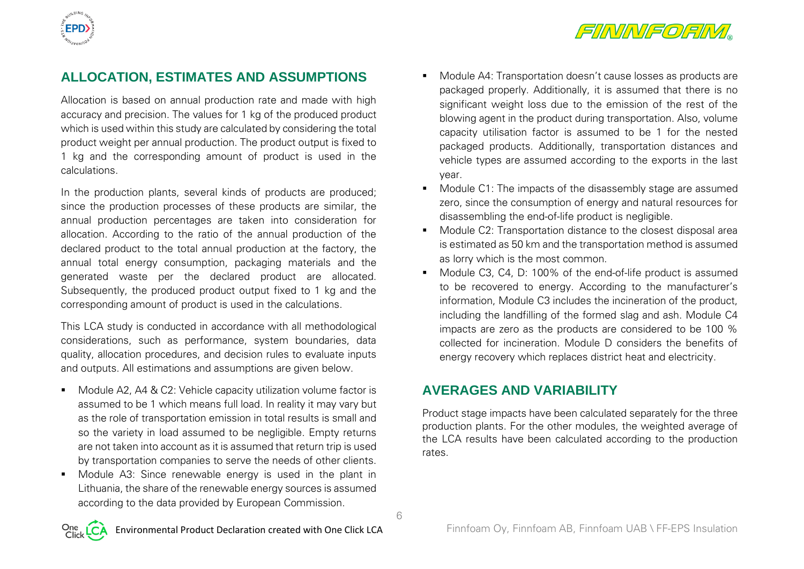



## **ALLOCATION, ESTIMATES AND ASSUMPTIONS**

Allocation is based on annual production rate and made with high accuracy and precision. The values for 1 kg of the produced product which is used within this study are calculated by considering the total product weight per annual production. The product output is fixed to 1 kg and the corresponding amount of product is used in the calculations.

In the production plants, several kinds of products are produced; since the production processes of these products are similar, the annual production percentages are taken into consideration for allocation. According to the ratio of the annual production of the declared product to the total annual production at the factory, the annual total energy consumption, packaging materials and the generated waste per the declared product are allocated. Subsequently, the produced product output fixed to 1 kg and the corresponding amount of product is used in the calculations.

This LCA study is conducted in accordance with all methodological considerations, such as performance, system boundaries, data quality, allocation procedures, and decision rules to evaluate inputs and outputs. All estimations and assumptions are given below.

- Module A2, A4 & C2: Vehicle capacity utilization volume factor is assumed to be 1 which means full load. In reality it may vary but as the role of transportation emission in total results is small and so the variety in load assumed to be negligible. Empty returns are not taken into account as it is assumed that return trip is used by transportation companies to serve the needs of other clients.
- Module A3: Since renewable energy is used in the plant in Lithuania, the share of the renewable energy sources is assumed according to the data provided by European Commission.
- Module A4: Transportation doesn't cause losses as products are packaged properly. Additionally, it is assumed that there is no significant weight loss due to the emission of the rest of the blowing agent in the product during transportation. Also, volume capacity utilisation factor is assumed to be 1 for the nested packaged products. Additionally, transportation distances and vehicle types are assumed according to the exports in the last year.
- Module C1: The impacts of the disassembly stage are assumed zero, since the consumption of energy and natural resources for disassembling the end-of-life product is negligible.
- Module C2: Transportation distance to the closest disposal area is estimated as 50 km and the transportation method is assumed as lorry which is the most common.
- Module C3, C4, D: 100% of the end-of-life product is assumed to be recovered to energy. According to the manufacturer's information, Module C3 includes the incineration of the product, including the landfilling of the formed slag and ash. Module C4 impacts are zero as the products are considered to be 100 % collected for incineration. Module D considers the benefits of energy recovery which replaces district heat and electricity.

### **AVERAGES AND VARIABILITY**

Product stage impacts have been calculated separately for the three production plants. For the other modules, the weighted average of the LCA results have been calculated according to the production rates.

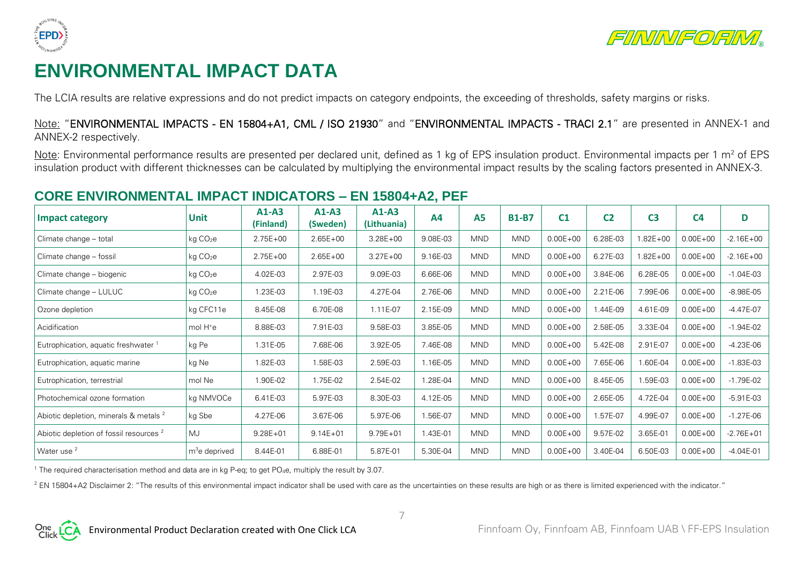



## **ENVIRONMENTAL IMPACT DATA**

The LCIA results are relative expressions and do not predict impacts on category endpoints, the exceeding of thresholds, safety margins or risks.

Note: "ENVIRONMENTAL IMPACTS - EN 15804+A1, CML / ISO 21930" and "ENVIRONMENTAL IMPACTS - TRACI 2.1" are presented in ANNEX-1 and ANNEX-2 respectively.

Note: Environmental performance results are presented per declared unit, defined as 1 kg of EPS insulation product. Environmental impacts per 1 m<sup>2</sup> of EPS insulation product with different thicknesses can be calculated by multiplying the environmental impact results by the scaling factors presented in ANNEX-3.

## **CORE ENVIRONMENTAL IMPACT INDICATORS – EN 15804+A2, PEF**

| <b>Impact category</b>                             | <b>Unit</b>          | $A1-A3$<br>(Finland) | $A1-A3$<br>(Sweden) | $A1-A3$<br>(Lithuania) | <b>A4</b> | A <sub>5</sub> | <b>B1-B7</b> | C <sub>1</sub> | C <sub>2</sub> | C <sub>3</sub> | C <sub>4</sub> | D             |
|----------------------------------------------------|----------------------|----------------------|---------------------|------------------------|-----------|----------------|--------------|----------------|----------------|----------------|----------------|---------------|
| Climate change - total                             | kg CO <sub>2</sub> e | $2.75E + 00$         | $2.65E + 00$        | $3.28E + 00$           | 9.08E-03  | <b>MND</b>     | <b>MND</b>   | $0.00E + 00$   | 6.28E-03       | $1.82E + 00$   | $0.00E + 00$   | $-2.16E + 00$ |
| Climate change - fossil                            | kg CO <sub>2</sub> e | $2.75E + 00$         | $2.65E + 00$        | $3.27E + 00$           | 9.16E-03  | <b>MND</b>     | <b>MND</b>   | $0.00E + 00$   | 6.27E-03       | $1.82E + 00$   | $0.00E + 00$   | $-2.16E + 00$ |
| Climate change - biogenic                          | kg CO <sub>2</sub> e | 4.02E-03             | 2.97E-03            | 9.09E-03               | 6.66E-06  | <b>MND</b>     | <b>MND</b>   | $0.00E + 00$   | 3.84E-06       | 6.28E-05       | $0.00E + 00$   | $-1.04E-03$   |
| Climate change - LULUC                             | kg CO <sub>2</sub> e | 1.23E-03             | 1.19E-03            | 4.27E-04               | 2.76E-06  | <b>MND</b>     | <b>MND</b>   | $0.00E + 00$   | 2.21E-06       | 7.99E-06       | $0.00E + 00$   | $-8.98E - 05$ |
| Ozone depletion                                    | kg CFC11e            | 8.45E-08             | 6.70E-08            | 1.11E-07               | 2.15E-09  | <b>MND</b>     | <b>MND</b>   | $0.00E + 00$   | .44E-09        | 4.61E-09       | $0.00E + 00$   | $-4.47E-07$   |
| Acidification                                      | mol H <sup>+</sup> e | 8.88E-03             | 7.91E-03            | 9.58E-03               | 3.85E-05  | <b>MND</b>     | <b>MND</b>   | $0.00E + 00$   | 2.58E-05       | 3.33E-04       | $0.00E + 00$   | $-1.94E-02$   |
| Eutrophication, aquatic freshwater 1               | kg Pe                | 1.31E-05             | 7.68E-06            | 3.92E-05               | 7.46E-08  | <b>MND</b>     | <b>MND</b>   | $0.00E + 00$   | 5.42E-08       | 2.91E-07       | $0.00E + 00$   | $-4.23E-06$   |
| Eutrophication, aquatic marine                     | kg Ne                | 1.82E-03             | 1.58E-03            | 2.59E-03               | 1.16E-05  | <b>MND</b>     | <b>MND</b>   | $0.00E + 00$   | 7.65E-06       | 1.60E-04       | $0.00E + 00$   | $-1.83E-03$   |
| Eutrophication, terrestrial                        | mol Ne               | 1.90E-02             | 1.75E-02            | 2.54E-02               | 1.28E-04  | <b>MND</b>     | <b>MND</b>   | $0.00E + 00$   | 8.45E-05       | 1.59E-03       | $0.00E + 00$   | $-1.79E-02$   |
| Photochemical ozone formation                      | kg NMVOCe            | 6.41E-03             | 5.97E-03            | 8.30E-03               | 4.12E-05  | <b>MND</b>     | <b>MND</b>   | $0.00E + 00$   | 2.65E-05       | 4.72E-04       | $0.00E + 00$   | $-5.91E-03$   |
| Abiotic depletion, minerals & metals <sup>2</sup>  | kg Sbe               | 4.27E-06             | 3.67E-06            | 5.97E-06               | 1.56E-07  | <b>MND</b>     | <b>MND</b>   | $0.00E + 00$   | 1.57E-07       | 4.99E-07       | $0.00E + 00$   | $-1.27E-06$   |
| Abiotic depletion of fossil resources <sup>2</sup> | MJ                   | $9.28E + 01$         | $9.14E + 01$        | $9.79E + 01$           | 1.43E-01  | <b>MND</b>     | <b>MND</b>   | $0.00E + 00$   | 9.57E-02       | 3.65E-01       | $0.00E + 00$   | $-2.76E + 01$ |
| Water use <sup>2</sup>                             | $m3e$ deprived       | 8.44E-01             | 6.88E-01            | 5.87E-01               | 5.30E-04  | <b>MND</b>     | <b>MND</b>   | $0.00E + 00$   | 3.40E-04       | 6.50E-03       | $0.00E + 00$   | $-4.04E - 01$ |

<sup>1</sup> The required characterisation method and data are in kg P-eq; to get PO<sub>4</sub>e, multiply the result by 3.07.

<sup>2</sup> EN 15804+A2 Disclaimer 2: "The results of this environmental impact indicator shall be used with care as the uncertainties on these results are high or as there is limited experienced with the indicator."

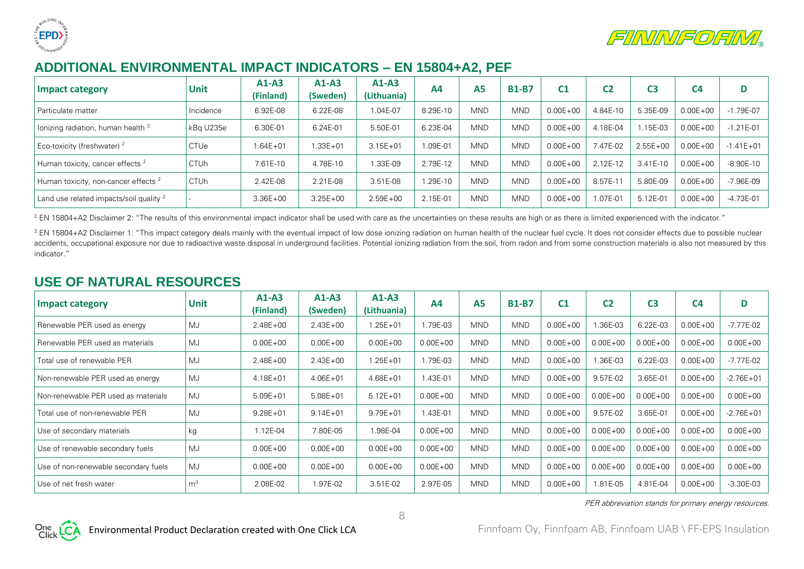



## **ADDITIONAL ENVIRONMENTAL IMPACT INDICATORS – EN 15804+A2, PEF**

| Impact category                                    | <b>Unit</b> | $A1-A3$<br>(Finland) | $A1-A3$<br>(Sweden) | A1-A3<br>(Lithuania) | AA       | <b>A5</b>  | <b>B1-B7</b> | C <sub>1</sub> | C <sub>2</sub> | C3           | C <sub>4</sub> | D             |
|----------------------------------------------------|-------------|----------------------|---------------------|----------------------|----------|------------|--------------|----------------|----------------|--------------|----------------|---------------|
| I Particulate matter                               | Incidence   | 6.92E-08             | 6.22E-08            | $.04E-07$            | 8.29E-10 | <b>MND</b> | <b>MND</b>   | $0.00E + 00$   | 4.84E-10       | 5.35E-09     | $0.00E + 00$   | $-1.79E - 07$ |
| lonizing radiation, human health 3                 | kBg U235e   | 6.30E-01             | 6.24E-01            | 5.50E-01             | 6.23E-04 | <b>MND</b> | <b>MND</b>   | $0.00E + 00$   | 4.18E-04       | $.15E-03$    | $0.00E + 00$   | $-1.21E - 01$ |
| Eco-toxicity (freshwater) <sup>2</sup>             | <b>CTUe</b> | $.64E + 01$          | $.33E + 01$         | $3.15E + 01$         | 09E-01.  | <b>MND</b> | <b>MND</b>   | $0.00E + 00$   | 7.47E-02       | $2.55E + 00$ | $0.00E + 00$   | $-1.41E + 01$ |
| Human toxicity, cancer effects <sup>2</sup>        | <b>CTUh</b> | 7.61E-10             | 4.78E-10            | .33E-09              | 2.79E-12 | <b>MND</b> | <b>MND</b>   | $0.00E + 00$   | 2.12E-12       | $3.41E-10$   | $0.00E + 00$   | $-8.90E-10$   |
| Human toxicity, non-cancer effects <sup>2</sup>    | <b>CTUh</b> | 2.42E-08             | 2.21E-08            | 3.51E-08             | .29E-10  | <b>MND</b> | <b>MND</b>   | $0.00E + 00$   | 8.57E-1        | 5.80E-09     | $0.00E + 00$   | $-7.96E-09$   |
| Land use related impacts/soil quality <sup>2</sup> |             | $3.36E + 00$         | $3.25E + 00$        | $2.59E + 00$         | 2.15E-01 | <b>MND</b> | <b>MND</b>   | $0.00E + 00$   | $.07E - 01$    | 5.12E-01     | $0.00E + 00$   | $-4.73E - 01$ |

<sup>2</sup> EN 15804+A2 Disclaimer 2: "The results of this environmental impact indicator shall be used with care as the uncertainties on these results are high or as there is limited experienced with the indicator."

<sup>3</sup> EN 15804+A2 Disclaimer 1: "This impact category deals mainly with the eventual impact of low dose ionizing radiation on human health of the nuclear fuel cycle. It does not consider effects due to possible nuclear accidents, occupational exposure nor due to radioactive waste disposal in underground facilities. Potential ionizing radiation from the soil, from radon and from some construction materials is also not measured by this indicator."

## **USE OF NATURAL RESOURCES**

| <b>Impact category</b>               | <b>Unit</b>    | $A1-A3$<br>(Finland) | $A1-A3$<br>(Sweden) | $A1-A3$<br>(Lithuania) | A <sub>4</sub> | <b>A5</b>  | <b>B1-B7</b> | C <sub>1</sub> | C <sub>2</sub> | C <sub>3</sub> | C <sub>4</sub> | D             |
|--------------------------------------|----------------|----------------------|---------------------|------------------------|----------------|------------|--------------|----------------|----------------|----------------|----------------|---------------|
| Renewable PER used as energy         | MJ             | $2.48E + 00$         | $2.43E + 00$        | $.25E + 01$            | 1.79E-03       | <b>MND</b> | <b>MND</b>   | $0.00E + 00$   | .36E-03        | 6.22E-03       | $0.00E + 00$   | $-7.77E-02$   |
| Renewable PER used as materials      | MJ             | $0.00E + 00$         | $0.00E + 00$        | $0.00E + 00$           | $0.00E + 00$   | <b>MND</b> | <b>MND</b>   | $0.00E + 00$   | $0.00E + 00$   | $0.00E + 00$   | $0.00E + 00$   | $0.00E + 00$  |
| Total use of renewable PER           | MJ             | $2.48E + 00$         | $2.43E + 00$        | $.25E + 01$            | 1.79E-03       | <b>MND</b> | <b>MND</b>   | $0.00E + 00$   | .36E-03        | 6.22E-03       | $0.00E + 00$   | -7.77E-02     |
| Non-renewable PER used as energy     | MJ             | $4.18E + 01$         | $4.06E + 01$        | $4.68E + 01$           | 1.43E-01       | <b>MND</b> | <b>MND</b>   | $0.00E + 00$   | 9.57E-02       | 3.65E-01       | $0.00E + 00$   | $-2.76E + 01$ |
| Non-renewable PER used as materials  | MJ             | $5.09E + 01$         | $5.08E + 01$        | $5.12E + 01$           | $0.00E + 00$   | <b>MND</b> | <b>MND</b>   | $0.00E + 00$   | $0.00E + 00$   | $0.00E + 00$   | $0.00E + 00$   | $0.00E + 00$  |
| Total use of non-renewable PER       | MJ             | $9.28E + 01$         | $9.14E + 01$        | $9.79E + 01$           | 1.43E-01       | <b>MND</b> | <b>MND</b>   | $0.00E + 00$   | 9.57E-02       | 3.65E-01       | $0.00E + 00$   | $-2.76E + 01$ |
| Use of secondary materials           | kg             | $.12E-04$            | 7.80E-05            | .98E-04                | $0.00E + 00$   | <b>MND</b> | <b>MND</b>   | $0.00E + 00$   | $0.00E + 00$   | $0.00E + 00$   | $0.00E + 00$   | $0.00E + 00$  |
| Use of renewable secondary fuels     | MJ             | $0.00E + 00$         | $0.00E + 00$        | $0.00E + 00$           | $0.00E + 00$   | <b>MND</b> | <b>MND</b>   | $0.00E + 00$   | $0.00E + 00$   | $0.00E + 00$   | $0.00E + 00$   | $0.00E + 00$  |
| Use of non-renewable secondary fuels | MJ             | $0.00E + 00$         | $0.00E + 00$        | $0.00E + 00$           | $0.00E + 00$   | <b>MND</b> | <b>MND</b>   | $0.00E + 00$   | $0.00E + 00$   | $0.00E + 00$   | $0.00E + 00$   | $0.00E + 00$  |
| Use of net fresh water               | m <sup>3</sup> | 2.08E-02             | .97E-02             | 3.51E-02               | 2.97E-05       | <b>MND</b> | <b>MND</b>   | $0.00E + 00$   | $.81E-05$      | 4.81E-04       | $0.00E + 00$   | $-3.30E-03$   |

8

PER abbreviation stands for primary energy resources.

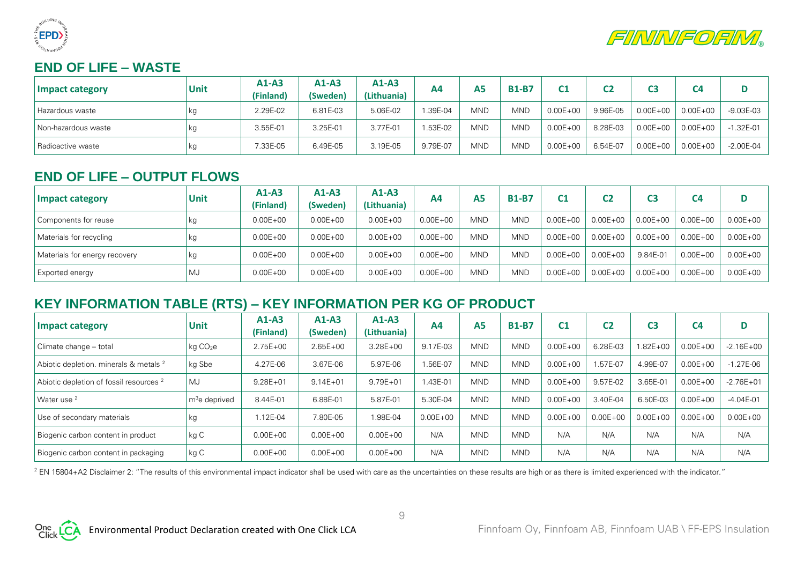



## **END OF LIFE – WASTE**

| Impact category       | Unit | $A1-A3$<br>(Finland) | $A1-A3$<br>(Sweden) | $A1-A3$<br>(Lithuania) | Α4                   | Α5         | <b>B1-B7</b> | r1           | C2       |              | C4           |               |
|-----------------------|------|----------------------|---------------------|------------------------|----------------------|------------|--------------|--------------|----------|--------------|--------------|---------------|
| Hazardous waste       | kg   | 2.29E-02             | 6.81E-03            | 5.06E-02               | <sup>1</sup> .39E-04 | <b>MND</b> | <b>MND</b>   | $0.00E + 00$ | 9.96E-05 | $0.00E + 00$ | $0.00E + 00$ | -9.03E-03     |
| I Non-hazardous waste | kg   | 3.55E-01             | 3.25E-01            | 3.77E-01               | .53E-02              | <b>MND</b> | <b>MND</b>   | $0.00E + 00$ | 8.28E-03 | $0.00E + 00$ | $0.00E + 00$ | .32E-01       |
| l Radioactive waste   | кg   | 7.33E-05             | 6.49E-05            | 3.19E-05               | 9.79E-07             | <b>MND</b> | <b>MND</b>   | $0.00E + 00$ | 6.54E-07 | $0.00E + 00$ | $0.00E + 00$ | $-2.00E - 04$ |

## **END OF LIFE – OUTPUT FLOWS**

| Impact category               | <b>Unit</b> | $A1-A3$<br>(Finland) | $A1-A3$<br>(Sweden) | $A1-A3$<br>(Lithuania) | A4           | A5         | <b>B1-B7</b> | C1           | C <sub>2</sub> | C3           | C <sub>4</sub> | D            |
|-------------------------------|-------------|----------------------|---------------------|------------------------|--------------|------------|--------------|--------------|----------------|--------------|----------------|--------------|
| Components for reuse          | kg          | $0.00E + 00$         | $0.00E + 00$        | $0.00E + 00$           | $0.00E + 00$ | <b>MND</b> | <b>MND</b>   | $0.00E + 00$ | $0.00E + 00$   | $0.00E + 00$ | $0.00E + 00$   | $0.00E + 00$ |
| Materials for recycling       | kg          | $0.00E + 00$         | $0.00E + 00$        | $0.00E + 00$           | $0.00E + 00$ | <b>MND</b> | <b>MND</b>   | $0.00E + 00$ | $0.00E + 00$   | $0.00E + 00$ | $0.00E + 00$   | $0.00E + 00$ |
| Materials for energy recovery | kg          | $0.00E + 00$         | $0.00E + 00$        | $0.00E + 00$           | $0.00E + 00$ | <b>MND</b> | <b>MND</b>   | $0.00E + 00$ | $0.00E + 00$   | 9.84E-01     | $0.00E + 00$   | $0.00E + 00$ |
| <b>Exported energy</b>        | MJ          | $0.00E + 00$         | $0.00E + 00$        | $0.00E + 00$           | $0.00E + 00$ | MND.       | <b>MND</b>   | $0.00E + 00$ | $0.00E + 00$   | $0.00E + 00$ | $0.00E + 00$   | $0.00E + 00$ |

## **KEY INFORMATION TABLE (RTS) – KEY INFORMATION PER KG OF PRODUCT**

| <b>Impact category</b>                             | <b>Unit</b>               | $A1-A3$<br><b>(Finland)</b> | $A1-A3$<br>(Sweden) | $A1-A3$<br>(Lithuania) | A4           | <b>A5</b>  | <b>B1-B7</b> | C <sub>1</sub> | C <sub>2</sub> | C <sub>3</sub> | C <sub>4</sub> | D             |
|----------------------------------------------------|---------------------------|-----------------------------|---------------------|------------------------|--------------|------------|--------------|----------------|----------------|----------------|----------------|---------------|
| Climate change - total                             | kg CO <sub>2</sub> e      | $2.75E + 00$                | $2.65E + 00$        | $3.28E + 00$           | 9.17E-03     | <b>MND</b> | <b>MND</b>   | $0.00E + 00$   | 6.28E-03       | $.82E + 00$    | $0.00E + 00$   | $-2.16E + 00$ |
| Abiotic depletion. minerals & metals <sup>2</sup>  | kg Sbe                    | 4.27E-06                    | 3.67E-06            | 5.97E-06               | 1.56E-07     | <b>MND</b> | <b>MND</b>   | $0.00E + 00$   | .57E-07        | 4.99E-07       | $0.00E + 00$   | $-1.27E-06$   |
| Abiotic depletion of fossil resources <sup>2</sup> | MJ                        | $9.28E + 01$                | $9.14E + 01$        | $9.79E + 01$           | 1.43E-01     | <b>MND</b> | <b>MND</b>   | $0.00E + 00$   | 9.57E-02       | $3.65E-0$      | $0.00E + 00$   | $-2.76E + 01$ |
| Water use <sup>2</sup>                             | m <sup>3</sup> e deprived | 8.44E-01                    | 6.88E-01            | 5.87E-01               | 5.30E-04     | <b>MND</b> | <b>MND</b>   | $0.00E + 00$   | 3.40E-04       | 6.50E-03       | $0.00E + 00$   | $-4.04E - 01$ |
| Use of secondary materials                         | kg                        | 1.12E-04                    | 7.80E-05            | .98E-04                | $0.00E + 00$ | <b>MND</b> | <b>MND</b>   | $0.00E + 00$   | $0.00E + 00$   | $0.00E + 00$   | $0.00E + 00$   | $0.00E + 00$  |
| Biogenic carbon content in product                 | kg C                      | $0.00E + 00$                | $0.00E + 00$        | $0.00E + 00$           | N/A          | <b>MND</b> | <b>MND</b>   | N/A            | N/A            | N/A            | N/A            | N/A           |
| Biogenic carbon content in packaging               | kg C                      | $0.00E + 00$                | $0.00E + 00$        | $0.00E + 00$           | N/A          | <b>MND</b> | <b>MND</b>   | N/A            | N/A            | N/A            | N/A            | N/A           |

<sup>2</sup> EN 15804+A2 Disclaimer 2: "The results of this environmental impact indicator shall be used with care as the uncertainties on these results are high or as there is limited experienced with the indicator."

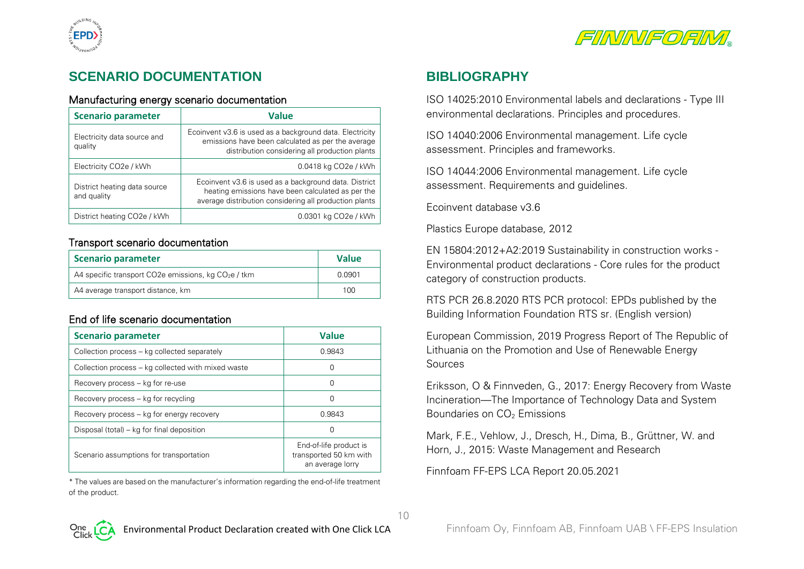



## **SCENARIO DOCUMENTATION**

#### Manufacturing energy scenario documentation

| <b>Scenario parameter</b>                   | <b>Value</b>                                                                                                                                                         |  |  |  |  |  |
|---------------------------------------------|----------------------------------------------------------------------------------------------------------------------------------------------------------------------|--|--|--|--|--|
| Electricity data source and<br>quality      | Ecoinvent v3.6 is used as a background data. Electricity<br>emissions have been calculated as per the average<br>distribution considering all production plants      |  |  |  |  |  |
| Electricity CO <sub>2</sub> e / kWh         | 0.0418 kg CO <sub>2</sub> e / kWh                                                                                                                                    |  |  |  |  |  |
| District heating data source<br>and quality | Ecoinvent v3.6 is used as a background data. District<br>heating emissions have been calculated as per the<br>average distribution considering all production plants |  |  |  |  |  |
| District heating CO2e / kWh                 | 0.0301 kg CO2e / kWh                                                                                                                                                 |  |  |  |  |  |

#### Transport scenario documentation

| Scenario parameter                                    | <b>Value</b> |
|-------------------------------------------------------|--------------|
| A4 specific transport CO2e emissions, kg $CO2e$ / tkm | 0.0901       |
| A4 average transport distance, km                     | 100.         |

#### End of life scenario documentation

| <b>Scenario parameter</b>                          | <b>Value</b>                                                         |
|----------------------------------------------------|----------------------------------------------------------------------|
| Collection process – kg collected separately       | 0.9843                                                               |
| Collection process – kg collected with mixed waste |                                                                      |
| Recovery process – kg for re-use                   |                                                                      |
| Recovery process – kg for recycling                |                                                                      |
| Recovery process – kg for energy recovery          | 0.9843                                                               |
| Disposal (total) – kg for final deposition         |                                                                      |
| Scenario assumptions for transportation            | End-of-life product is<br>transported 50 km with<br>an average lorry |

\* The values are based on the manufacturer's information regarding the end-of-life treatment of the product.

## **BIBLIOGRAPHY**

ISO 14025:2010 Environmental labels and declarations - Type III environmental declarations. Principles and procedures.

ISO 14040:2006 Environmental management. Life cycle assessment. Principles and frameworks.

ISO 14044:2006 Environmental management. Life cycle assessment. Requirements and guidelines.

Ecoinvent database v3.6

Plastics Europe database, 2012

EN 15804:2012+A2:2019 Sustainability in construction works - Environmental product declarations - Core rules for the product category of construction products.

RTS PCR 26.8.2020 RTS PCR protocol: EPDs published by the Building Information Foundation RTS sr. (English version)

European Commission, 2019 Progress Report of The Republic of Lithuania on the Promotion and Use of Renewable Energy Sources

Eriksson, O & Finnveden, G., 2017: Energy Recovery from Waste Incineration—The Importance of Technology Data and System Boundaries on CO<sub>2</sub> Emissions

Mark, F.E., Vehlow, J., Dresch, H., Dima, B., Grüttner, W. and Horn, J., 2015: Waste Management and Research

Finnfoam FF-EPS LCA Report 20.05.2021

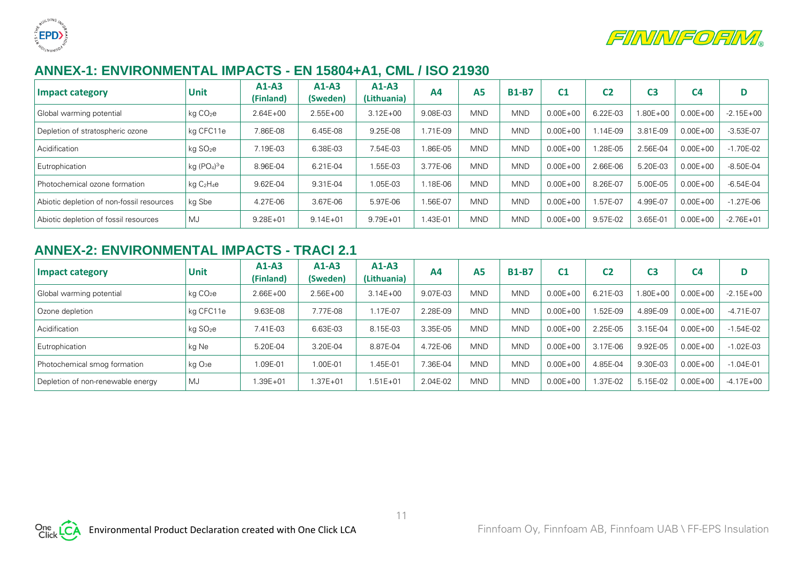



## **ANNEX-1: ENVIRONMENTAL IMPACTS - EN 15804+A1, CML / ISO 21930**

| Impact category                           | <b>Unit</b>          | $A1-A3$<br>(Finland) | $A1-A3$<br>(Sweden) | $A1-A3$<br>(Lithuania) | A <sub>4</sub> | <b>A5</b>  | <b>B1-B7</b> | C <sub>1</sub> | C2        | C3       | C <sub>4</sub> | D             |
|-------------------------------------------|----------------------|----------------------|---------------------|------------------------|----------------|------------|--------------|----------------|-----------|----------|----------------|---------------|
| Global warming potential                  | kg CO <sub>2</sub> e | $2.64E + 00$         | $2.55E + 00$        | $3.12E + 00$           | 9.08E-03       | <b>MND</b> | <b>MND</b>   | $0.00E + 00$   | 6.22E-03  | 1.80E+00 | $0.00E + 00$   | $-2.15E + 00$ |
| Depletion of stratospheric ozone          | kg CFC11e            | 7.86E-08             | 6.45E-08            | 9.25E-08               | 1.71E-09       | <b>MND</b> | <b>MND</b>   | $0.00E + 00$   | $.14E-09$ | 3.81E-09 | $0.00E + 00$   | $-3.53E-07$   |
| Acidification                             | kg SO <sub>2</sub> e | 7.19E-03             | 6.38E-03            | 7.54E-03               | 1.86E-05       | <b>MND</b> | <b>MND</b>   | $0.00E + 00$   | .28E-05   | 2.56E-04 | $0.00E + 00$   | $-1.70E-02$   |
| Eutrophication                            | kg (PO $_4$ ) $^3$ e | 8.96E-04             | 6.21E-04            | .55E-03                | 3.77E-06       | <b>MND</b> | <b>MND</b>   | $0.00E + 00$   | 2.66E-06  | 5.20E-03 | $0.00E + 00$   | $-8.50E-04$   |
| Photochemical ozone formation             | $kq$ $C_2H_4e$       | 9.62E-04             | 9.31E-04            | .05E-03                | .18E-06        | <b>MND</b> | <b>MND</b>   | $0.00E + 00$   | 8.26E-07  | 5.00E-05 | $0.00E + 00$   | $-6.54E-04$   |
| Abiotic depletion of non-fossil resources | kg Sbe               | 4.27E-06             | 3.67E-06            | 5.97E-06               | I.56E-07       | <b>MND</b> | <b>MND</b>   | $0.00E + 00$   | .57E-07   | 4.99E-07 | $0.00E + 00$   | $-1.27E - 06$ |
| Abiotic depletion of fossil resources     | MJ                   | $9.28E + 01$         | $9.14E + 01$        | $9.79E + 01$           | 1.43E-01       | <b>MND</b> | <b>MND</b>   | $0.00E + 00$   | 9.57E-02  | 3.65E-01 | $0.00E + 00$   | $-2.76E + 01$ |

## **ANNEX-2: ENVIRONMENTAL IMPACTS - TRACI 2.1**

| Impact category                   | <b>Unit</b>          | $A1-A3$<br>(Finland) | $A1-A3$<br>(Sweden) | $A1-A3$<br>(Lithuania) | A4       | <b>A5</b>  | <b>B1-B7</b> | C <sub>1</sub> | C <sub>2</sub> | C <sub>3</sub> | C <sub>4</sub> | D             |
|-----------------------------------|----------------------|----------------------|---------------------|------------------------|----------|------------|--------------|----------------|----------------|----------------|----------------|---------------|
| Global warming potential          | kg CO <sub>2</sub> e | $2.66E + 00$         | $2.56E + 00$        | $3.14E + 00$           | 9.07E-03 | <b>MND</b> | <b>MND</b>   | $0.00E + 00$   | 6.21E-03       | 1.80E+00       | $0.00E + 00$   | $-2.15E + 00$ |
| Ozone depletion                   | kg CFC11e            | 9.63E-08             | 77E-08              | $.17E-07$              | 2.28E-09 | <b>MND</b> | <b>MND</b>   | $0.00E + 00$   | .52E-09        | 4.89E-09       | $0.00E + 00$   | $-4.71E-07$   |
| Acidification                     | kg SO <sub>2</sub> e | 7.41E-03             | 6.63E-03            | 8.15E-03               | 3.35E-05 | <b>MND</b> | <b>MND</b>   | $0.00E + 00$   | 2.25E-05       | 3.15E-04       | $0.00E + 00$   | $-1.54E-02$   |
| Eutrophication                    | kg Ne                | 5.20E-04             | 3.20E-04            | 8.87E-04               | 4.72E-06 | <b>MND</b> | <b>MND</b>   | $0.00E + 00$   | 3.17E-06       | 9.92E-05       | $0.00E + 00$   | $-1.02E-03$   |
| Photochemical smog formation      | ka O <sub>3</sub> e  | 1.09E-01             | $.00E-01$           | .45E-01                | 7.36E-04 | <b>MND</b> | <b>MND</b>   | $0.00E + 00$   | 4.85E-04       | 9.30E-03       | $0.00E + 00$   | $-1.04E - 01$ |
| Depletion of non-renewable energy | MJ                   | $.39E + 01$          | $.37E + 01$         | $1.51E + 01$           | 2.04E-02 | <b>MND</b> | <b>MND</b>   | $0.00E + 00$   | .37E-02        | 5.15E-02       | $0.00E + 00$   | $-4.17E + 00$ |

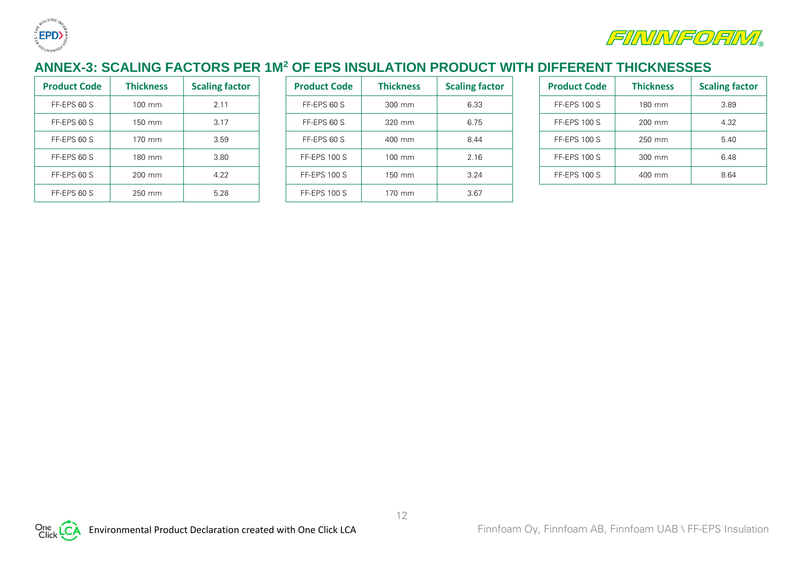



## **ANNEX-3: SCALING FACTORS PER 1M<sup>2</sup> OF EPS INSULATION PRODUCT WITH DIFFERENT THICKNESSES**

| <b>Product Code</b> | <b>Thickness</b> | <b>Scaling factor</b> | <b>Product Code</b> | <b>Thickness</b>   | <b>Scaling f</b> |
|---------------------|------------------|-----------------------|---------------------|--------------------|------------------|
| FF-EPS 60 S         | $100 \text{ mm}$ | 2.11                  | FF-EPS 60 S         | $300 \, \text{mm}$ | 6.33             |
| FF-EPS 60 S         | $150 \text{ mm}$ | 3.17                  | FF-EPS 60 S         | $320$ mm           | 6.75             |
| FF-EPS 60 S         | $170 \text{ mm}$ | 3.59                  | FF-EPS 60 S         | 400 mm             | 8.44             |
| FF-EPS 60 S         | 180 mm           | 3.80                  | <b>FF-EPS 100 S</b> | $100$ mm           | 2.16             |
| FF-EPS 60 S         | $200 \text{ mm}$ | 4.22                  | <b>FF-EPS 100 S</b> | $150 \, \text{mm}$ | 3.24             |
| FF-EPS 60 S         | 250 mm           | 5.28                  | <b>FF-EPS 100 S</b> | $170$ mm           | 3.67             |

| <b>Product Code</b> | <b>Thickness</b> | <b>Scaling factor</b> | <b>Product Code</b> | <b>Thickness</b> | <b>Scaling factor</b> | <b>Product Code</b> | <b>Thickness</b> | <b>Scaling factor</b> |
|---------------------|------------------|-----------------------|---------------------|------------------|-----------------------|---------------------|------------------|-----------------------|
| FF-EPS 60 S         | 100 mm           | 2.11                  | FF-EPS 60 S         | 300 mm           | 6.33                  | <b>FF-EPS 100 S</b> | 180 mm           | 3.89                  |
| FF-EPS 60 S         | 150 mm           | 3.17                  | FF-EPS 60 S         | 320 mm           | 6.75                  | <b>FF-EPS 100 S</b> | 200 mm           | 4.32                  |
| FF-EPS 60 S         | 170 mm           | 3.59                  | FF-EPS 60 S         | 400 mm           | 8.44                  | <b>FF-EPS 100 S</b> | 250 mm           | 5.40                  |
| FF-EPS 60 S         | 180 mm           | 3.80                  | FF-EPS 100 S        | 100 mm           | 2.16                  | <b>FF-EPS 100 S</b> | 300 mm           | 6.48                  |
| FF-EPS 60 S         | 200 mm           | 4.22                  | <b>FF-EPS 100 S</b> | 150 mm           | 3.24                  | <b>FF-EPS 100 S</b> | 400 mm           | 8.64                  |
| FF-EPS 60 S         | 250 mm           | 5.28                  | <b>FF-EPS 100 S</b> | 170 mm           | 3.67                  |                     |                  |                       |

| <b>Product Code</b> | <b>Thickness</b> | <b>Scaling factor</b> |
|---------------------|------------------|-----------------------|
| <b>FF-EPS 100 S</b> | 180 mm           | 3.89                  |
| <b>FF-EPS 100 S</b> | 200 mm           | 4.32                  |
| <b>FF-EPS 100 S</b> | 250 mm           | 5.40                  |
| <b>FF-EPS 100 S</b> | 300 mm           | 6.48                  |
| <b>FF-EPS 100 S</b> | $400 \text{ mm}$ | 8.64                  |